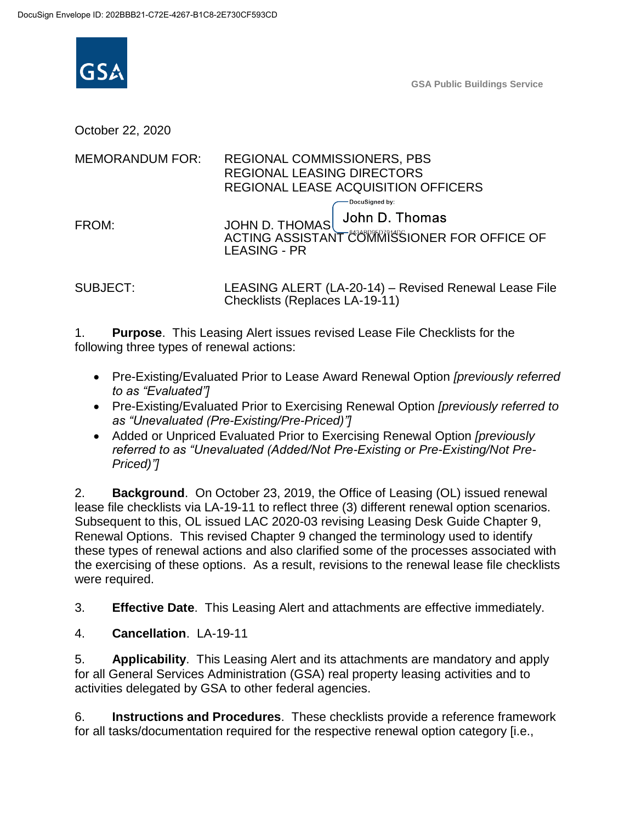

**GSA Public Buildings Service**

October 22, 2020

| <b>MEMORANDUM FOR:</b> | <b>REGIONAL COMMISSIONERS, PBS</b><br><b>REGIONAL LEASING DIRECTORS</b><br>REGIONAL LEASE ACQUISITION OFFICERS            |
|------------------------|---------------------------------------------------------------------------------------------------------------------------|
| FROM:                  | ∙DocuSigned by:<br>John D. Thomas<br>JOHN D. THOMAS<br>ACTING ASSISTANT COMMISSIONER FOR OFFICE OF<br><b>LEASING - PR</b> |

SUBJECT: LEASING ALERT (LA-20-14) – Revised Renewal Lease File Checklists (Replaces LA-19-11)

1. **Purpose**. This Leasing Alert issues revised Lease File Checklists for the following three types of renewal actions:

- Pre-Existing/Evaluated Prior to Lease Award Renewal Option *[previously referred to as "Evaluated"]*
- Pre-Existing/Evaluated Prior to Exercising Renewal Option *[previously referred to as "Unevaluated (Pre-Existing/Pre-Priced)"]*
- Added or Unpriced Evaluated Prior to Exercising Renewal Option *[previously referred to as "Unevaluated (Added/Not Pre-Existing or Pre-Existing/Not Pre-Priced)"]*

2. **Background**. On October 23, 2019, the Office of Leasing (OL) issued renewal lease file checklists via LA-19-11 to reflect three (3) different renewal option scenarios. Subsequent to this, OL issued LAC 2020-03 revising Leasing Desk Guide Chapter 9, Renewal Options. This revised Chapter 9 changed the terminology used to identify these types of renewal actions and also clarified some of the processes associated with the exercising of these options. As a result, revisions to the renewal lease file checklists were required.

3. **Effective Date**. This Leasing Alert and attachments are effective immediately.

4. **Cancellation**. LA-19-11

5. **Applicability**. This Leasing Alert and its attachments are mandatory and apply for all General Services Administration (GSA) real property leasing activities and to activities delegated by GSA to other federal agencies.

6. **Instructions and Procedures**. These checklists provide a reference framework for all tasks/documentation required for the respective renewal option category [i.e.,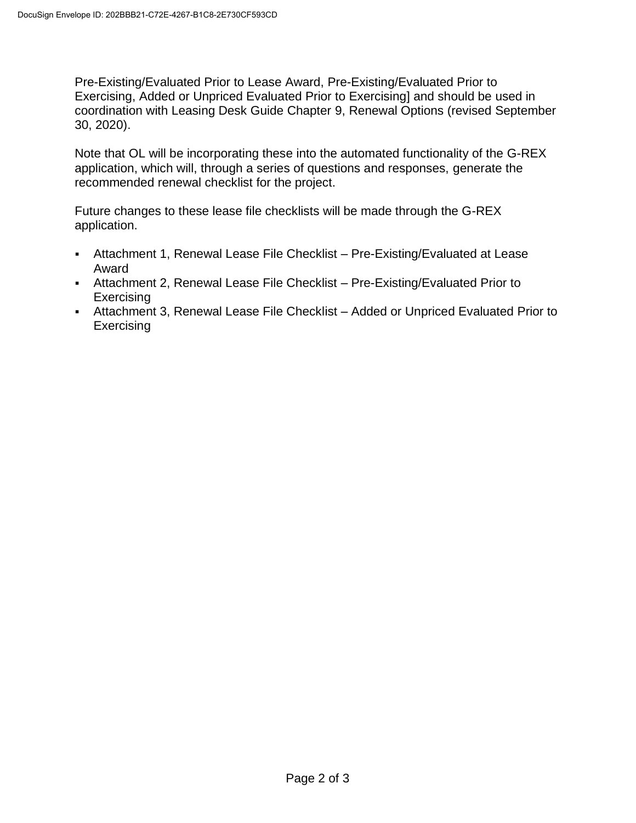Pre-Existing/Evaluated Prior to Lease Award, Pre-Existing/Evaluated Prior to Exercising, Added or Unpriced Evaluated Prior to Exercising] and should be used in coordination with Leasing Desk Guide Chapter 9, Renewal Options (revised September 30, 2020).

Note that OL will be incorporating these into the automated functionality of the G-REX application, which will, through a series of questions and responses, generate the recommended renewal checklist for the project.

Future changes to these lease file checklists will be made through the G-REX application.

- Attachment 1, Renewal Lease File Checklist Pre-Existing/Evaluated at Lease Award
- Attachment 2, Renewal Lease File Checklist Pre-Existing/Evaluated Prior to **Exercising**
- Attachment 3, Renewal Lease File Checklist Added or Unpriced Evaluated Prior to **Exercising**